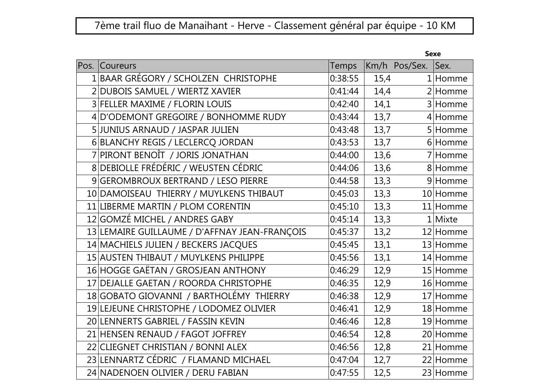## 7ème trail fluo de Manaihant - Herve - Classement général par équipe - 10 KM

| Pos. Coureurs                                 | <b>Temps</b> |      | Km/h Pos/Sex. | Sex.       |
|-----------------------------------------------|--------------|------|---------------|------------|
| 1 BAAR GRÉGORY / SCHOLZEN CHRISTOPHE          | 0:38:55      | 15,4 |               | $1$  Homme |
| 2 DUBOIS SAMUEL / WIERTZ XAVIER               | 0:41:44      | 14,4 |               | $2$ Homme  |
| 3 FELLER MAXIME / FLORIN LOUIS                | 0:42:40      | 14,1 |               | 3 Homme    |
| 4 D'ODEMONT GREGOIRE / BONHOMME RUDY          | 0:43:44      | 13,7 |               | 4 Homme    |
| 5 JUNIUS ARNAUD / JASPAR JULIEN               | 0:43:48      | 13,7 |               | 5 Homme    |
| 6 BLANCHY REGIS / LECLERCQ JORDAN             | 0:43:53      | 13,7 |               | 6 Homme    |
| 7 PIRONT BENOÎT / JORIS JONATHAN              | 0:44:00      | 13,6 |               | 7 Homme    |
| 8 DEBIOLLE FRÉDÉRIC / WEUSTEN CÉDRIC          | 0:44:06      | 13,6 |               | 8 Homme    |
| 9 GEROMBROUX BERTRAND / LESO PIERRE           | 0:44:58      | 13,3 |               | 9 Homme    |
| 10 DAMOISEAU THIERRY / MUYLKENS THIBAUT       | 0:45:03      | 13,3 |               | 10 Homme   |
| 11 LIBERME MARTIN / PLOM CORENTIN             | 0:45:10      | 13,3 |               | 11 Homme   |
| 12 GOMZÉ MICHEL / ANDRES GABY                 | 0:45:14      | 13,3 |               | $1$ Mixte  |
| 13 LEMAIRE GUILLAUME / D'AFFNAY JEAN-FRANÇOIS | 0:45:37      | 13,2 |               | 12 Homme   |
| 14 MACHIELS JULIEN / BECKERS JACQUES          | 0:45:45      | 13,1 |               | 13 Homme   |
| 15 AUSTEN THIBAUT / MUYLKENS PHILIPPE         | 0:45:56      | 13,1 |               | 14 Homme   |
| 16 HOGGE GAËTAN / GROSJEAN ANTHONY            | 0:46:29      | 12,9 |               | 15 Homme   |
| 17 DEJALLE GAETAN / ROORDA CHRISTOPHE         | 0:46:35      | 12,9 |               | 16 Homme   |
| 18 GOBATO GIOVANNI / BARTHOLÉMY THIERRY       | 0:46:38      | 12,9 |               | 17 Homme   |
| 19 LEJEUNE CHRISTOPHE / LODOMEZ OLIVIER       | 0:46:41      | 12,9 |               | 18 Homme   |
| 20 LENNERTS GABRIEL / FASSIN KEVIN            | 0:46:46      | 12,8 |               | 19 Homme   |
| 21 HENSEN RENAUD / FAGOT JOFFREY              | 0:46:54      | 12,8 |               | 20 Homme   |
| 22 CLIEGNET CHRISTIAN / BONNI ALEX            | 0:46:56      | 12,8 |               | 21 Homme   |
| 23 LENNARTZ CÉDRIC / FLAMAND MICHAEL          | 0:47:04      | 12,7 |               | 22 Homme   |
| 24 NADENOEN OLIVIER / DERU FABIAN             | 0:47:55      | 12,5 |               | 23 Homme   |
|                                               |              |      |               |            |

Sexe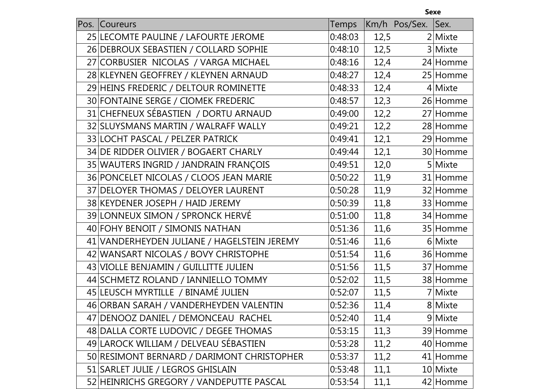|      |                                             |              |      | <b>Sexe</b>   |           |
|------|---------------------------------------------|--------------|------|---------------|-----------|
| Pos. | Coureurs                                    | <b>Temps</b> |      | Km/h Pos/Sex. | Sex.      |
|      | 25 LECOMTE PAULINE / LAFOURTE JEROME        | 0:48:03      | 12,5 |               | $2$ Mixte |
|      | 26 DEBROUX SEBASTIEN / COLLARD SOPHIE       | 0:48:10      | 12,5 |               | 3 Mixte   |
|      | 27 CORBUSIER NICOLAS / VARGA MICHAEL        | 0:48:16      | 12,4 |               | 24 Homme  |
|      | 28 KLEYNEN GEOFFREY / KLEYNEN ARNAUD        | 0:48:27      | 12,4 |               | 25 Homme  |
|      | 29 HEINS FREDERIC / DELTOUR ROMINETTE       | 0:48:33      | 12,4 |               | $4$ Mixte |
|      | 30 FONTAINE SERGE / CIOMEK FREDERIC         | 0:48:57      | 12,3 |               | 26 Homme  |
|      | 31 CHEFNEUX SÉBASTIEN / DORTU ARNAUD        | 0:49:00      | 12,2 |               | 27 Homme  |
|      | 32 SLUYSMANS MARTIN / WALRAFF WALLY         | 0:49:21      | 12,2 |               | 28 Homme  |
|      | 33 LOCHT PASCAL / PELZER PATRICK            | 0:49:41      | 12,1 |               | 29 Homme  |
|      | 34 DE RIDDER OLIVIER / BOGAERT CHARLY       | 0:49:44      | 12,1 |               | 30 Homme  |
|      | 35 WAUTERS INGRID / JANDRAIN FRANÇOIS       | 0:49:51      | 12,0 |               | 5 Mixte   |
|      | 36 PONCELET NICOLAS / CLOOS JEAN MARIE      | 0:50:22      | 11,9 |               | 31 Homme  |
|      | 37 DELOYER THOMAS / DELOYER LAURENT         | 0:50:28      | 11,9 |               | 32 Homme  |
|      | 38 KEYDENER JOSEPH / HAID JEREMY            | 0:50:39      | 11,8 |               | 33 Homme  |
|      | 39 LONNEUX SIMON / SPRONCK HERVÉ            | 0:51:00      | 11,8 |               | 34 Homme  |
|      | 40 FOHY BENOIT / SIMONIS NATHAN             | 0:51:36      | 11,6 |               | 35 Homme  |
|      | 41 VANDERHEYDEN JULIANE / HAGELSTEIN JEREMY | 0:51:46      | 11,6 |               | 6 Mixte   |
|      | 42 WANSART NICOLAS / BOVY CHRISTOPHE        | 0:51:54      | 11,6 |               | 36 Homme  |
|      | 43 VIOLLE BENJAMIN / GUILLITTE JULIEN       | 0:51:56      | 11,5 |               | 37 Homme  |
|      | 44 SCHMETZ ROLAND / IANNIELLO TOMMY         | 0:52:02      | 11,5 |               | 38 Homme  |
|      | 45 LEUSCH MYRTILLE / BINAMÉ JULIEN          | 0:52:07      | 11,5 |               | 7 Mixte   |
|      | 46 ORBAN SARAH / VANDERHEYDEN VALENTIN      | 0:52:36      | 11,4 |               | 8 Mixte   |
|      | 47 DENOOZ DANIEL / DEMONCEAU RACHEL         | 0:52:40      | 11,4 |               | 9 Mixte   |
|      | 48 DALLA CORTE LUDOVIC / DEGEE THOMAS       | 0:53:15      | 11,3 |               | 39 Homme  |
|      | 49 LAROCK WILLIAM / DELVEAU SÉBASTIEN       | 0:53:28      | 11,2 |               | 40 Homme  |
|      | 50 RESIMONT BERNARD / DARIMONT CHRISTOPHER  | 0:53:37      | 11,2 |               | 41 Homme  |
|      | 51 SARLET JULIE / LEGROS GHISLAIN           | 0:53:48      | 11,1 |               | 10 Mixte  |
|      | 52 HEINRICHS GREGORY / VANDEPUTTE PASCAL    | 0:53:54      | 11,1 |               | 42 Homme  |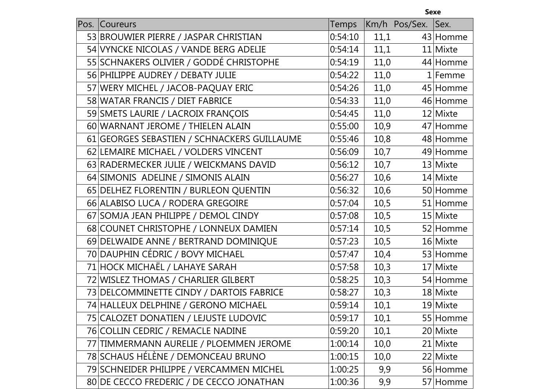|      |                                             |              |      | <b>Sexe</b>   |           |
|------|---------------------------------------------|--------------|------|---------------|-----------|
| Pos. | <b>Coureurs</b>                             | <b>Temps</b> |      | Km/h Pos/Sex. | Sex.      |
|      | 53 BROUWIER PIERRE / JASPAR CHRISTIAN       | 0:54:10      | 11,1 |               | 43 Homme  |
|      | 54 VYNCKE NICOLAS / VANDE BERG ADELIE       | 0:54:14      | 11,1 |               | 11 Mixte  |
|      | 55 SCHNAKERS OLIVIER / GODDÉ CHRISTOPHE     | 0:54:19      | 11,0 |               | 44 Homme  |
|      | 56 PHILIPPE AUDREY / DEBATY JULIE           | 0:54:22      | 11,0 |               | $1$ Femme |
|      | 57 WERY MICHEL / JACOB-PAQUAY ERIC          | 0:54:26      | 11,0 |               | 45 Homme  |
|      | 58 WATAR FRANCIS / DIET FABRICE             | 0:54:33      | 11,0 |               | 46 Homme  |
|      | 59 SMETS LAURIE / LACROIX FRANÇOIS          | 0:54:45      | 11,0 |               | 12 Mixte  |
|      | 60 WARNANT JEROME / THIELEN ALAIN           | 0:55:00      | 10,9 |               | 47 Homme  |
|      | 61 GEORGES SEBASTIEN / SCHNACKERS GUILLAUME | 0:55:46      | 10,8 |               | 48 Homme  |
|      | 62 LEMAIRE MICHAEL / VOLDERS VINCENT        | 0:56:09      | 10,7 |               | 49 Homme  |
|      | 63 RADERMECKER JULIE / WEICKMANS DAVID      | 0:56:12      | 10,7 |               | 13 Mixte  |
|      | 64 SIMONIS ADELINE / SIMONIS ALAIN          | 0:56:27      | 10,6 |               | 14 Mixte  |
|      | 65 DELHEZ FLORENTIN / BURLEON QUENTIN       | 0:56:32      | 10,6 |               | 50 Homme  |
|      | 66 ALABISO LUCA / RODERA GREGOIRE           | 0:57:04      | 10,5 |               | 51 Homme  |
|      | 67 SOMJA JEAN PHILIPPE / DEMOL CINDY        | 0:57:08      | 10,5 |               | 15 Mixte  |
|      | 68 COUNET CHRISTOPHE / LONNEUX DAMIEN       | 0:57:14      | 10,5 |               | 52 Homme  |
|      | 69 DELWAIDE ANNE / BERTRAND DOMINIQUE       | 0:57:23      | 10,5 |               | 16 Mixte  |
|      | 70 DAUPHIN CÉDRIC / BOVY MICHAEL            | 0:57:47      | 10,4 |               | 53 Homme  |
|      | 71 HOCK MICHAËL / LAHAYE SARAH              | 0:57:58      | 10,3 |               | 17 Mixte  |
|      | 72 WISLEZ THOMAS / CHARLIER GILBERT         | 0:58:25      | 10,3 |               | 54 Homme  |
|      | 73 DELCOMMINETTE CINDY / DARTOIS FABRICE    | 0:58:27      | 10,3 |               | 18 Mixte  |
|      | 74 HALLEUX DELPHINE / GERONO MICHAEL        | 0:59:14      | 10,1 |               | 19 Mixte  |
|      | 75 CALOZET DONATIEN / LEJUSTE LUDOVIC       | 0:59:17      | 10,1 |               | 55 Homme  |
|      | 76 COLLIN CEDRIC / REMACLE NADINE           | 0:59:20      | 10,1 |               | 20 Mixte  |
|      | 77 TIMMERMANN AURELIE / PLOEMMEN JEROME     | 1:00:14      | 10,0 |               | 21 Mixte  |
|      | 78 SCHAUS HÉLÈNE / DEMONCEAU BRUNO          | 1:00:15      | 10,0 |               | 22 Mixte  |
|      | 79 SCHNEIDER PHILIPPE / VERCAMMEN MICHEL    | 1:00:25      | 9,9  |               | 56 Homme  |
|      | 80 DE CECCO FREDERIC / DE CECCO JONATHAN    | 1:00:36      | 9,9  |               | 57 Homme  |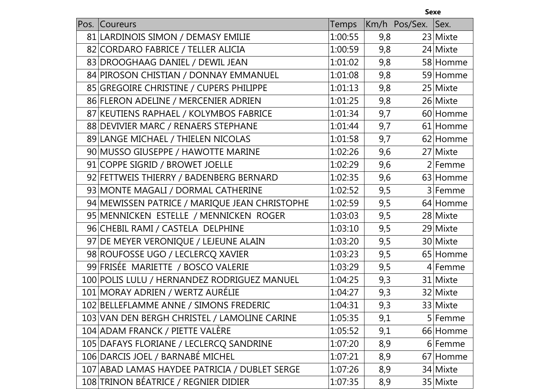|      |                                               |         |     | <b>Sexe</b>   |           |
|------|-----------------------------------------------|---------|-----|---------------|-----------|
| Pos. | Coureurs                                      | Temps   |     | Km/h Pos/Sex. | Sex.      |
|      | 81 LARDINOIS SIMON / DEMASY EMILIE            | 1:00:55 | 9,8 |               | 23 Mixte  |
|      | 82 CORDARO FABRICE / TELLER ALICIA            | 1:00:59 | 9,8 |               | 24 Mixte  |
|      | 83 DROOGHAAG DANIEL / DEWIL JEAN              | 1:01:02 | 9,8 |               | 58 Homme  |
|      | 84 PIROSON CHISTIAN / DONNAY EMMANUEL         | 1:01:08 | 9,8 |               | 59 Homme  |
|      | 85 GREGOIRE CHRISTINE / CUPERS PHILIPPE       | 1:01:13 | 9,8 |               | 25 Mixte  |
|      | 86 FLERON ADELINE / MERCENIER ADRIEN          | 1:01:25 | 9,8 |               | 26 Mixte  |
|      | 87 KEUTIENS RAPHAEL / KOLYMBOS FABRICE        | 1:01:34 | 9,7 |               | 60 Homme  |
|      | 88 DEVIVIER MARC / RENAERS STEPHANE           | 1:01:44 | 9,7 |               | 61 Homme  |
|      | 89 LANGE MICHAEL / THIELEN NICOLAS            | 1:01:58 | 9,7 |               | 62 Homme  |
|      | 90 MUSSO GIUSEPPE / HAWOTTE MARINE            | 1:02:26 | 9,6 |               | 27 Mixte  |
|      | 91 COPPE SIGRID / BROWET JOELLE               | 1:02:29 | 9,6 |               | $2$ Femme |
|      | 92 FETTWEIS THIERRY / BADENBERG BERNARD       | 1:02:35 | 9,6 |               | 63 Homme  |
|      | 93 MONTE MAGALI / DORMAL CATHERINE            | 1:02:52 | 9,5 |               | 3 Femme   |
|      | 94 MEWISSEN PATRICE / MARIQUE JEAN CHRISTOPHE | 1:02:59 | 9,5 |               | 64 Homme  |
|      | 95 MENNICKEN ESTELLE / MENNICKEN ROGER        | 1:03:03 | 9,5 |               | 28 Mixte  |
|      | 96 CHEBIL RAMI / CASTELA DELPHINE             | 1:03:10 | 9,5 |               | 29 Mixte  |
|      | 97 DE MEYER VERONIQUE / LEJEUNE ALAIN         | 1:03:20 | 9,5 |               | 30 Mixte  |
|      | 98 ROUFOSSE UGO / LECLERCQ XAVIER             | 1:03:23 | 9,5 |               | 65 Homme  |
|      | 99 FRISÉE MARIETTE / BOSCO VALERIE            | 1:03:29 | 9,5 |               | 4 Femme   |
|      | 100 POLIS LULU / HERNANDEZ RODRIGUEZ MANUEL   | 1:04:25 | 9,3 |               | 31 Mixte  |
|      | 101 MORAY ADRIEN / WERTZ AURÉLIE              | 1:04:27 | 9,3 |               | 32 Mixte  |
|      | 102 BELLEFLAMME ANNE / SIMONS FREDERIC        | 1:04:31 | 9,3 |               | 33 Mixte  |
|      | 103 VAN DEN BERGH CHRISTEL / LAMOLINE CARINE  | 1:05:35 | 9,1 |               | 5 Femme   |
|      | 104 ADAM FRANCK / PIETTE VALÈRE               | 1:05:52 | 9,1 |               | 66 Homme  |
|      | 105 DAFAYS FLORIANE / LECLERCQ SANDRINE       | 1:07:20 | 8,9 |               | 6 Femme   |
|      | 106 DARCIS JOEL / BARNABÉ MICHEL              | 1:07:21 | 8,9 |               | 67 Homme  |
|      | 107 ABAD LAMAS HAYDEE PATRICIA / DUBLET SERGE | 1:07:26 | 8,9 |               | 34 Mixte  |
|      | 108 TRINON BÉATRICE / REGNIER DIDIER          | 1:07:35 | 8,9 |               | 35 Mixte  |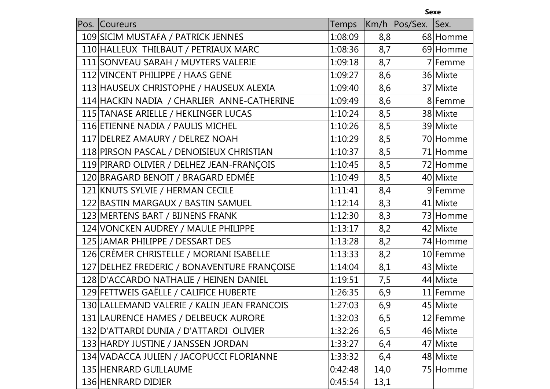|                                             |         |      | <b>Sexe</b>   |           |
|---------------------------------------------|---------|------|---------------|-----------|
| Pos. Coureurs                               | Temps   |      | Km/h Pos/Sex. | Sex.      |
| 109 SICIM MUSTAFA / PATRICK JENNES          | 1:08:09 | 8,8  |               | 68 Homme  |
| 110 HALLEUX THILBAUT / PETRIAUX MARC        | 1:08:36 | 8,7  |               | 69 Homme  |
| 111 SONVEAU SARAH / MUYTERS VALERIE         | 1:09:18 | 8,7  |               | $7$ Femme |
| 112 VINCENT PHILIPPE / HAAS GENE            | 1:09:27 | 8,6  |               | 36 Mixte  |
| 113 HAUSEUX CHRISTOPHE / HAUSEUX ALEXIA     | 1:09:40 | 8,6  |               | 37 Mixte  |
| 114 HACKIN NADIA / CHARLIER ANNE-CATHERINE  | 1:09:49 | 8,6  |               | 8 Femme   |
| 115 TANASE ARIELLE / HEKLINGER LUCAS        | 1:10:24 | 8,5  |               | 38 Mixte  |
| 116 ETIENNE NADIA / PAULIS MICHEL           | 1:10:26 | 8,5  |               | 39 Mixte  |
| 117 DELREZ AMAURY / DELREZ NOAH             | 1:10:29 | 8,5  |               | 70 Homme  |
| 118 PIRSON PASCAL / DENOISIEUX CHRISTIAN    | 1:10:37 | 8,5  |               | 71 Homme  |
| 119 PIRARD OLIVIER / DELHEZ JEAN-FRANÇOIS   | 1:10:45 | 8,5  |               | 72 Homme  |
| 120 BRAGARD BENOIT / BRAGARD EDMÉE          | 1:10:49 | 8,5  |               | 40 Mixte  |
| 121 KNUTS SYLVIE / HERMAN CECILE            | 1:11:41 | 8,4  |               | 9 Femme   |
| 122 BASTIN MARGAUX / BASTIN SAMUEL          | 1:12:14 | 8,3  |               | 41 Mixte  |
| 123 MERTENS BART / BIJNENS FRANK            | 1:12:30 | 8,3  |               | 73 Homme  |
| 124 VONCKEN AUDREY / MAULE PHILIPPE         | 1:13:17 | 8,2  |               | 42 Mixte  |
| 125 JAMAR PHILIPPE / DESSART DES            | 1:13:28 | 8,2  |               | 74 Homme  |
| 126 CRÉMER CHRISTELLE / MORIANI ISABELLE    | 1:13:33 | 8,2  |               | 10 Femme  |
| 127 DELHEZ FREDERIC / BONAVENTURE FRANÇOISE | 1:14:04 | 8,1  |               | 43 Mixte  |
| 128 D'ACCARDO NATHALIE / HEINEN DANIEL      | 1:19:51 | 7,5  |               | 44 Mixte  |
| 129 FETTWEIS GAËLLE / CALIFICE HUBERTE      | 1:26:35 | 6,9  |               | 11 Femme  |
| 130 LALLEMAND VALERIE / KALIN JEAN FRANCOIS | 1:27:03 | 6,9  |               | 45 Mixte  |
| 131 LAURENCE HAMES / DELBEUCK AURORE        | 1:32:03 | 6,5  |               | 12 Femme  |
| 132 D'ATTARDI DUNIA / D'ATTARDI OLIVIER     | 1:32:26 | 6,5  |               | 46 Mixte  |
| 133 HARDY JUSTINE / JANSSEN JORDAN          | 1:33:27 | 6,4  |               | 47 Mixte  |
| 134 VADACCA JULIEN / JACOPUCCI FLORIANNE    | 1:33:32 | 6,4  |               | 48 Mixte  |
| 135 HENRARD GUILLAUME                       | 0:42:48 | 14,0 |               | 75 Homme  |
| 136 HENRARD DIDIER                          | 0:45:54 | 13,1 |               |           |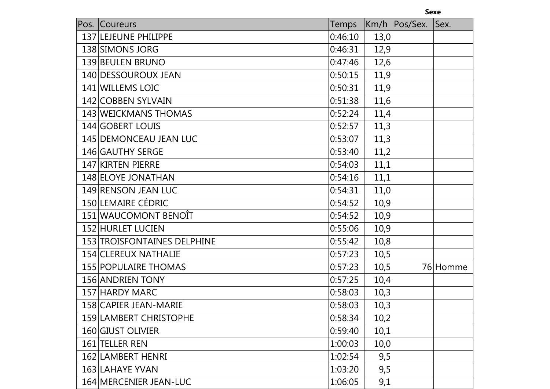| ×<br>۰. | v.<br>v.<br>۰. |  |
|---------|----------------|--|
|         |                |  |

| Pos.<br>Coureurs            | Temps   |      | Km/h Pos/Sex. | Sex.     |
|-----------------------------|---------|------|---------------|----------|
| 137 LEJEUNE PHILIPPE        | 0:46:10 | 13,0 |               |          |
| 138 SIMONS JORG             | 0:46:31 | 12,9 |               |          |
| 139 BEULEN BRUNO            | 0:47:46 | 12,6 |               |          |
| 140 DESSOUROUX JEAN         | 0:50:15 | 11,9 |               |          |
| 141 WILLEMS LOIC            | 0:50:31 | 11,9 |               |          |
| 142 COBBEN SYLVAIN          | 0:51:38 | 11,6 |               |          |
| 143 WEICKMANS THOMAS        | 0:52:24 | 11,4 |               |          |
| 144 GOBERT LOUIS            | 0:52:57 | 11,3 |               |          |
| 145 DEMONCEAU JEAN LUC      | 0:53:07 | 11,3 |               |          |
| 146 GAUTHY SERGE            | 0:53:40 | 11,2 |               |          |
| 147 KIRTEN PIERRE           | 0:54:03 | 11,1 |               |          |
| 148 ELOYE JONATHAN          | 0:54:16 | 11,1 |               |          |
| 149 RENSON JEAN LUC         | 0:54:31 | 11,0 |               |          |
| 150 LEMAIRE CÉDRIC          | 0:54:52 | 10,9 |               |          |
| 151 WAUCOMONT BENOÎT        | 0:54:52 | 10,9 |               |          |
| 152 HURLET LUCIEN           | 0:55:06 | 10,9 |               |          |
| 153 TROISFONTAINES DELPHINE | 0:55:42 | 10,8 |               |          |
| 154 CLEREUX NATHALIE        | 0:57:23 | 10,5 |               |          |
| <b>155 POPULAIRE THOMAS</b> | 0:57:23 | 10,5 |               | 76 Homme |
| 156 ANDRIEN TONY            | 0:57:25 | 10,4 |               |          |
| 157 HARDY MARC              | 0:58:03 | 10,3 |               |          |
| 158 CAPIER JEAN-MARIE       | 0:58:03 | 10,3 |               |          |
| 159 LAMBERT CHRISTOPHE      | 0:58:34 | 10,2 |               |          |
| 160 GIUST OLIVIER           | 0:59:40 | 10,1 |               |          |
| 161 TELLER REN              | 1:00:03 | 10,0 |               |          |
| 162 LAMBERT HENRI           | 1:02:54 | 9,5  |               |          |
| 163 LAHAYE YVAN             | 1:03:20 | 9,5  |               |          |
| 164 MERCENIER JEAN-LUC      | 1:06:05 | 9,1  |               |          |